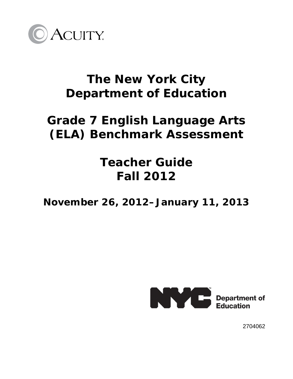

## **The New York City Department of Education**

# **Grade 7 English Language Arts (ELA) Benchmark Assessment**

# **Teacher Guide Fall 2012**

**November 26, 2012–January 11, 2013**



2704062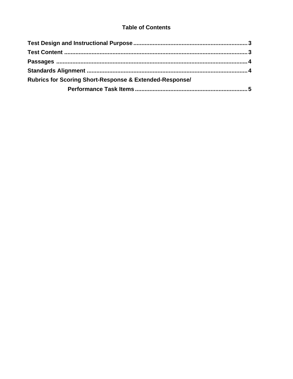### **Table of Contents**

| <b>Rubrics for Scoring Short-Response &amp; Extended-Response/</b> |  |  |
|--------------------------------------------------------------------|--|--|
|                                                                    |  |  |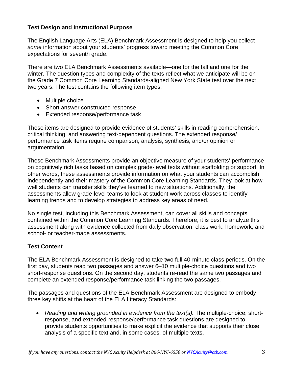### **Test Design and Instructional Purpose**

The English Language Arts (ELA) Benchmark Assessment is designed to help you collect *some* information about your students' progress toward meeting the Common Core expectations for seventh grade.

There are two ELA Benchmark Assessments available—one for the fall and one for the winter. The question types and complexity of the texts reflect what we anticipate will be on the Grade 7 Common Core Learning Standards-aligned New York State test over the next two years. The test contains the following item types:

- Multiple choice
- Short answer constructed response
- Extended response/performance task

These items are designed to provide evidence of students' skills in reading comprehension, critical thinking, and answering text-dependent questions. The extended response/ performance task items require comparison, analysis, synthesis, and/or opinion or argumentation.

These Benchmark Assessments provide an objective measure of your students' performance on cognitively rich tasks based on complex grade-level texts without scaffolding or support. In other words, these assessments provide information on what your students can accomplish independently and their mastery of the Common Core Learning Standards. They look at how well students can transfer skills they've learned to new situations. Additionally, the assessments allow grade-level teams to look at student work across classes to identify learning trends and to develop strategies to address key areas of need.

No single test, including this Benchmark Assessment, can cover all skills and concepts contained within the Common Core Learning Standards. Therefore, it is best to analyze this assessment along with evidence collected from daily observation, class work, homework, and school- or teacher-made assessments.

## **Test Content**

The ELA Benchmark Assessment is designed to take two full 40-minute class periods. On the first day, students read two passages and answer 6–10 multiple-choice questions and two short-response questions. On the second day, students re-read the same two passages and complete an extended response/performance task linking the two passages.

The passages and questions of the ELA Benchmark Assessment are designed to embody three key shifts at the heart of the ELA Literacy Standards:

• *Reading and writing grounded in evidence from the text(s).* The multiple-choice, shortresponse, and extended-response/performance task questions are designed to provide students opportunities to make explicit the evidence that supports their close analysis of a specific text and, in some cases, of multiple texts.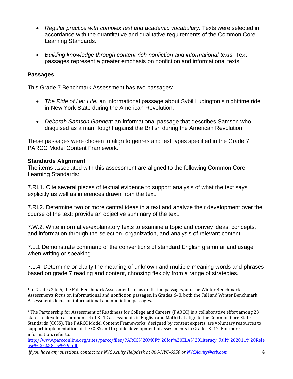- *Regular practice with complex text and academic vocabulary.* Texts were selected in accordance with the quantitative and qualitative requirements of the Common Core Learning Standards.
- *Building knowledge through content-rich nonfiction and informational texts.* Text passages represent a greater emphasis on nonfiction and informational texts.<sup>1</sup>

### **Passages**

This Grade 7 Benchmark Assessment has two passages:

- *The Ride of Her Life:* an informational passage about Sybil Ludington's nighttime ride in New York State during the American Revolution.
- *Deborah Samson Gannett:* an informational passage that describes Samson who, disguised as a man, fought against the British during the American Revolution.

These passages were chosen to align to genres and text types specified in the Grade 7 PARCC Model Content Framework.<sup>2</sup>

### **Standards Alignment**

The items associated with this assessment are aligned to the following Common Core Learning Standards:

7.RI.1. Cite several pieces of textual evidence to support analysis of what the text says explicitly as well as inferences drawn from the text.

7.RI.2. Determine two or more central ideas in a text and analyze their development over the course of the text; provide an objective summary of the text.

7.W.2. Write informative/explanatory texts to examine a topic and convey ideas, concepts, and information through the selection, organization, and analysis of relevant content.

7.L.1 Demonstrate command of the conventions of standard English grammar and usage when writing or speaking.

7.L.4. Determine or clarify the meaning of unknown and multiple-meaning words and phrases based on grade 7 reading and content, choosing flexibly from a range of strategies.

<sup>1</sup> In Grades 3 to 5, the Fall Benchmark Assessments focus on fiction passages, and the Winter Benchmark Assessments focus on informational and nonfiction passages. In Grades 6–8, both the Fall and Winter Benchmark Assessments focus on informational and nonfiction passages.

<sup>2</sup> The Partnership for Assessment of Readiness for College and Careers (PARCC) is a collaborative effort among 23 states to develop a common set of K–12 assessments in English and Math that align to the Common Core State Standards (CCSS). The PARCC Model Content Frameworks, designed by content experts, are voluntary resources to support implementation of the CCSS and to guide development of assessments in Grades 3–12. For more information, refer to:

http://www.parcconline.org/sites/parcc/files/PARCC%20MCF%20for%20ELA%20Literacy\_Fall%202011%20Rele ase%20%28rev%29.pdf

*If you have any questions, contact the NYC Acuity Helpdesk at 866NYC6550 or NYCAcuity@ctb.com*. 4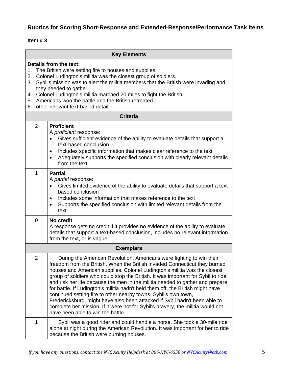## **Rubrics for Scoring Short-Response and Extended-Response/Performance Task Items**

#### **Item # 3**

|                | <b>Key Elements</b>                                                                                                                                                                                                                                                                                                                                                                                                                                                                                                                                                                                                                                                                                                                                              |  |
|----------------|------------------------------------------------------------------------------------------------------------------------------------------------------------------------------------------------------------------------------------------------------------------------------------------------------------------------------------------------------------------------------------------------------------------------------------------------------------------------------------------------------------------------------------------------------------------------------------------------------------------------------------------------------------------------------------------------------------------------------------------------------------------|--|
|                | Details from the text:<br>1. The British were setting fire to houses and supplies.<br>2. Colonel Ludington's militia was the closest group of soldiers.<br>3. Sybil's mission was to alert the militia members that the British were invading and<br>they needed to gather.<br>4. Colonel Ludington's militia marched 20 miles to fight the British.<br>5. Americans won the battle and the British retreated.<br>6. other relevant text-based detail                                                                                                                                                                                                                                                                                                            |  |
|                | <b>Criteria</b>                                                                                                                                                                                                                                                                                                                                                                                                                                                                                                                                                                                                                                                                                                                                                  |  |
| 2              | <b>Proficient</b><br>A proficient response:<br>Gives sufficient evidence of the ability to evaluate details that support a<br>$\bullet$<br>text-based conclusion<br>Includes specific information that makes clear reference to the text<br>٠<br>Adequately supports the specified conclusion with clearly relevant details<br>$\bullet$<br>from the text                                                                                                                                                                                                                                                                                                                                                                                                        |  |
| 1              | <b>Partial</b><br>A <i>partial</i> response:<br>Gives limited evidence of the ability to evaluate details that support a text-<br>based conclusion<br>Includes some information that makes reference to the text<br>$\bullet$<br>Supports the specified conclusion with limited relevant details from the<br>$\bullet$<br>text                                                                                                                                                                                                                                                                                                                                                                                                                                   |  |
| $\overline{0}$ | No credit<br>A response gets no credit if it provides no evidence of the ability to evaluate<br>details that support a text-based conclusion, includes no relevant information<br>from the text, or is vague.                                                                                                                                                                                                                                                                                                                                                                                                                                                                                                                                                    |  |
|                | <b>Exemplars</b>                                                                                                                                                                                                                                                                                                                                                                                                                                                                                                                                                                                                                                                                                                                                                 |  |
| $\overline{2}$ | During the American Revolution, Americans were fighting to win their<br>freedom from the British. When the British invaded Connecticut they burned<br>houses and American supplies. Colonel Ludington's militia was the closest<br>group of soldiers who could stop the British. It was important for Sybil to ride<br>and risk her life because the men in the militia needed to gather and prepare<br>for battle. If Ludington's militia hadn't held them off, the British might have<br>continued setting fire to other nearby towns. Sybil's own town,<br>Fredericksburg, might have also been attacked if Sybil hadn't been able to<br>complete her mission. If it were not for Sybil's bravery, the militia would not<br>have been able to win the battle. |  |
| 1              | Sybil was a good rider and could handle a horse. She took a 30-mile ride<br>alone at night during the American Revolution. It was important for her to ride<br>because the British were burning houses.                                                                                                                                                                                                                                                                                                                                                                                                                                                                                                                                                          |  |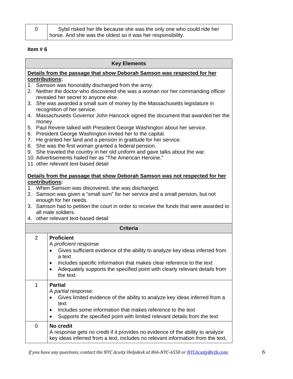| Sybil risked her life because she was the only one who could ride her |  |
|-----------------------------------------------------------------------|--|
| horse. And she was the oldest so it was her responsibility.           |  |

### **Item # 6**

| <b>Key Elements</b>                                                                                                                                                                                                                                                                                                                                                                                                                                                                                                                                                                                                                                                                                                                                                                                                                                                    |                                                                                                                                                                                                                                                                                                                                                                                                                       |
|------------------------------------------------------------------------------------------------------------------------------------------------------------------------------------------------------------------------------------------------------------------------------------------------------------------------------------------------------------------------------------------------------------------------------------------------------------------------------------------------------------------------------------------------------------------------------------------------------------------------------------------------------------------------------------------------------------------------------------------------------------------------------------------------------------------------------------------------------------------------|-----------------------------------------------------------------------------------------------------------------------------------------------------------------------------------------------------------------------------------------------------------------------------------------------------------------------------------------------------------------------------------------------------------------------|
|                                                                                                                                                                                                                                                                                                                                                                                                                                                                                                                                                                                                                                                                                                                                                                                                                                                                        | Details from the passage that show Deborah Samson was respected for her                                                                                                                                                                                                                                                                                                                                               |
| contributions:<br>1. Samson was honorably discharged from the army.<br>2. Neither the doctor who discovered she was a woman nor her commanding officer<br>revealed her secret to anyone else.<br>3. She was awarded a small sum of money by the Massachusetts legislature in<br>recognition of her service.<br>4. Massachusetts Governor John Hancock signed the document that awarded her the<br>money.<br>5. Paul Revere talked with President George Washington about her service.<br>6. President George Washington invited her to the capital.<br>7. He granted her land and a pension in gratitude for her service.<br>8. She was the first woman granted a federal pension.<br>9. She traveled the country in her old uniform and gave talks about the war.<br>10. Advertisements hailed her as "The American Heroine."<br>11. other relevant text-based detail |                                                                                                                                                                                                                                                                                                                                                                                                                       |
|                                                                                                                                                                                                                                                                                                                                                                                                                                                                                                                                                                                                                                                                                                                                                                                                                                                                        | Details from the passage that show Deborah Samson was not respected for her<br>contributions:<br>1. When Samson was discovered, she was discharged.<br>2. Samson was given a "small sum" for her service and a small pension, but not<br>enough for her needs.<br>3. Samson had to petition the court in order to receive the funds that were awarded to<br>all male soldiers.<br>4. other relevant text-based detail |
|                                                                                                                                                                                                                                                                                                                                                                                                                                                                                                                                                                                                                                                                                                                                                                                                                                                                        | <b>Criteria</b>                                                                                                                                                                                                                                                                                                                                                                                                       |
| $\overline{2}$                                                                                                                                                                                                                                                                                                                                                                                                                                                                                                                                                                                                                                                                                                                                                                                                                                                         | <b>Proficient</b><br>A proficient response<br>Gives sufficient evidence of the ability to analyze key ideas inferred from<br>$\bullet$<br>a text<br>Includes specific information that makes clear reference to the text<br>٠<br>Adequately supports the specified point with clearly relevant details from<br>the text                                                                                               |
| 1                                                                                                                                                                                                                                                                                                                                                                                                                                                                                                                                                                                                                                                                                                                                                                                                                                                                      | <b>Partial</b><br>A <i>partial</i> response:<br>Gives limited evidence of the ability to analyze key ideas inferred from a<br>text<br>Includes some information that makes reference to the text<br>Supports the specified point with limited relevant details from the text                                                                                                                                          |
| 0                                                                                                                                                                                                                                                                                                                                                                                                                                                                                                                                                                                                                                                                                                                                                                                                                                                                      | No credit<br>A response gets no credit if it provides no evidence of the ability to analyze<br>key ideas inferred from a text, includes no relevant information from the text,                                                                                                                                                                                                                                        |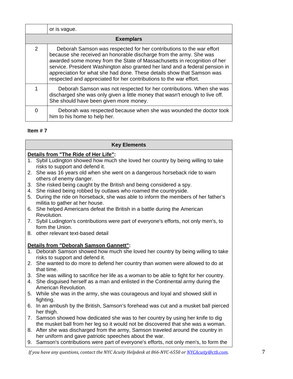|               | or is vague.                                                                                                                                                                                                                                                                                                                                                                                                                                           |  |  |
|---------------|--------------------------------------------------------------------------------------------------------------------------------------------------------------------------------------------------------------------------------------------------------------------------------------------------------------------------------------------------------------------------------------------------------------------------------------------------------|--|--|
|               | <b>Exemplars</b>                                                                                                                                                                                                                                                                                                                                                                                                                                       |  |  |
| $\mathcal{P}$ | Deborah Samson was respected for her contributions to the war effort<br>because she received an honorable discharge from the army. She was<br>awarded some money from the State of Massachusetts in recognition of her<br>service. President Washington also granted her land and a federal pension in<br>appreciation for what she had done. These details show that Samson was<br>respected and appreciated for her contributions to the war effort. |  |  |
|               | Deborah Samson was not respected for her contributions. When she was<br>discharged she was only given a little money that wasn't enough to live off.<br>She should have been given more money.                                                                                                                                                                                                                                                         |  |  |
| 0             | Deborah was respected because when she was wounded the doctor took<br>him to his home to help her.                                                                                                                                                                                                                                                                                                                                                     |  |  |

#### **Item # 7**

#### **Key Elements**

#### **Details from "The Ride of Her Life":**

- 1. Sybil Ludington showed how much she loved her country by being willing to take risks to support and defend it.
- 2. She was 16 years old when she went on a dangerous horseback ride to warn others of enemy danger.
- 3. She risked being caught by the British and being considered a spy.
- 4. She risked being robbed by outlaws who roamed the countryside.
- 5. During the ride on horseback, she was able to inform the members of her father's militia to gather at her house.
- 6. She helped Americans defeat the British in a battle during the American Revolution.
- 7. Sybil Ludington's contributions were part of everyone's efforts, not only men's, to form the Union.
- 8. other relevant text-based detail

#### **Details from "Deborah Samson Gannett":**

- 1. Deborah Samson showed how much she loved her country by being willing to take risks to support and defend it.
- 2. She wanted to do more to defend her country than women were allowed to do at that time.
- 3. She was willing to sacrifice her life as a woman to be able to fight for her country.
- 4. She disguised herself as a man and enlisted in the Continental army during the American Revolution.
- 5. While she was in the army, she was courageous and loyal and showed skill in fighting.
- 6. In an ambush by the British, Samson's forehead was cut and a musket ball pierced her thigh.
- 7. Samson showed how dedicated she was to her country by using her knife to dig the musket ball from her leg so it would not be discovered that she was a woman.
- 8. After she was discharged from the army, Samson traveled around the country in her uniform and gave patriotic speeches about the war.
- 9. Samson's contributions were part of everyone's efforts, not only men's, to form the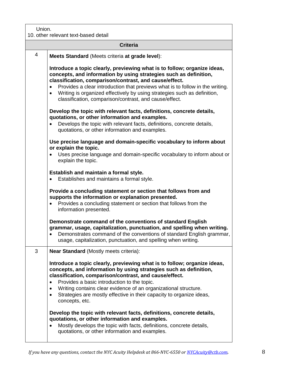### Union.

#### 10. other relevant text-based detail

|                | 10. other relevant text-based detail                                                                                                                                                                                                                                                                                                                                                                                                                       |
|----------------|------------------------------------------------------------------------------------------------------------------------------------------------------------------------------------------------------------------------------------------------------------------------------------------------------------------------------------------------------------------------------------------------------------------------------------------------------------|
|                | <b>Criteria</b>                                                                                                                                                                                                                                                                                                                                                                                                                                            |
| $\overline{4}$ | Meets Standard (Meets criteria at grade level):                                                                                                                                                                                                                                                                                                                                                                                                            |
|                | Introduce a topic clearly, previewing what is to follow; organize ideas,<br>concepts, and information by using strategies such as definition,<br>classification, comparison/contrast, and cause/effect.<br>Provides a clear introduction that previews what is to follow in the writing.<br>$\bullet$<br>Writing is organized effectively by using strategies such as definition,<br>$\bullet$<br>classification, comparison/contrast, and cause/effect.   |
|                | Develop the topic with relevant facts, definitions, concrete details,<br>quotations, or other information and examples.<br>Develops the topic with relevant facts, definitions, concrete details,<br>quotations, or other information and examples.                                                                                                                                                                                                        |
|                | Use precise language and domain-specific vocabulary to inform about<br>or explain the topic.<br>Uses precise language and domain-specific vocabulary to inform about or<br>explain the topic.                                                                                                                                                                                                                                                              |
|                | Establish and maintain a formal style.<br>Establishes and maintains a formal style.                                                                                                                                                                                                                                                                                                                                                                        |
|                | Provide a concluding statement or section that follows from and<br>supports the information or explanation presented.<br>Provides a concluding statement or section that follows from the<br>information presented.                                                                                                                                                                                                                                        |
|                | Demonstrate command of the conventions of standard English<br>grammar, usage, capitalization, punctuation, and spelling when writing.<br>Demonstrates command of the conventions of standard English grammar,<br>$\bullet$<br>usage, capitalization, punctuation, and spelling when writing.                                                                                                                                                               |
| 3              | <b>Near Standard (Mostly meets criteria):</b>                                                                                                                                                                                                                                                                                                                                                                                                              |
|                | Introduce a topic clearly, previewing what is to follow; organize ideas,<br>concepts, and information by using strategies such as definition,<br>classification, comparison/contrast, and cause/effect.<br>Provides a basic introduction to the topic.<br>$\bullet$<br>Writing contains clear evidence of an organizational structure.<br>$\bullet$<br>Strategies are mostly effective in their capacity to organize ideas,<br>$\bullet$<br>concepts, etc. |
|                | Develop the topic with relevant facts, definitions, concrete details,<br>quotations, or other information and examples.<br>Mostly develops the topic with facts, definitions, concrete details,<br>$\bullet$<br>quotations, or other information and examples.                                                                                                                                                                                             |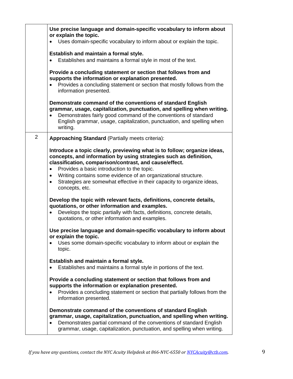|                | Use precise language and domain-specific vocabulary to inform about<br>or explain the topic.                                                                                                                                                                                                                                                                                                                                           |
|----------------|----------------------------------------------------------------------------------------------------------------------------------------------------------------------------------------------------------------------------------------------------------------------------------------------------------------------------------------------------------------------------------------------------------------------------------------|
|                | Uses domain-specific vocabulary to inform about or explain the topic.                                                                                                                                                                                                                                                                                                                                                                  |
|                | Establish and maintain a formal style.<br>Establishes and maintains a formal style in most of the text.                                                                                                                                                                                                                                                                                                                                |
|                | Provide a concluding statement or section that follows from and<br>supports the information or explanation presented.<br>Provides a concluding statement or section that mostly follows from the<br>information presented.                                                                                                                                                                                                             |
|                | Demonstrate command of the conventions of standard English<br>grammar, usage, capitalization, punctuation, and spelling when writing.<br>Demonstrates fairly good command of the conventions of standard<br>English grammar, usage, capitalization, punctuation, and spelling when<br>writing.                                                                                                                                         |
| $\overline{2}$ | <b>Approaching Standard (Partially meets criteria):</b>                                                                                                                                                                                                                                                                                                                                                                                |
|                | Introduce a topic clearly, previewing what is to follow; organize ideas,<br>concepts, and information by using strategies such as definition,<br>classification, comparison/contrast, and cause/effect.<br>Provides a basic introduction to the topic.<br>$\bullet$<br>Writing contains some evidence of an organizational structure.<br>٠<br>Strategies are somewhat effective in their capacity to organize ideas,<br>concepts, etc. |
|                | Develop the topic with relevant facts, definitions, concrete details,<br>quotations, or other information and examples.<br>Develops the topic partially with facts, definitions, concrete details,<br>quotations, or other information and examples.                                                                                                                                                                                   |
|                | Use precise language and domain-specific vocabulary to inform about<br>or explain the topic.<br>Uses some domain-specific vocabulary to inform about or explain the<br>topic.                                                                                                                                                                                                                                                          |
|                | Establish and maintain a formal style.<br>Establishes and maintains a formal style in portions of the text.                                                                                                                                                                                                                                                                                                                            |
|                | Provide a concluding statement or section that follows from and<br>supports the information or explanation presented.<br>Provides a concluding statement or section that partially follows from the<br>information presented.                                                                                                                                                                                                          |
|                | Demonstrate command of the conventions of standard English<br>grammar, usage, capitalization, punctuation, and spelling when writing.<br>Demonstrates partial command of the conventions of standard English<br>$\bullet$<br>grammar, usage, capitalization, punctuation, and spelling when writing.                                                                                                                                   |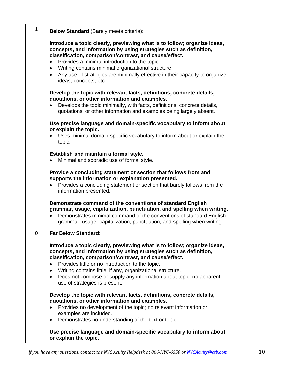| $\mathbf{1}$ | <b>Below Standard (Barely meets criteria):</b>                                                                                                                                                                                                                                                                                                                                                                              |
|--------------|-----------------------------------------------------------------------------------------------------------------------------------------------------------------------------------------------------------------------------------------------------------------------------------------------------------------------------------------------------------------------------------------------------------------------------|
|              | Introduce a topic clearly, previewing what is to follow; organize ideas,<br>concepts, and information by using strategies such as definition,<br>classification, comparison/contrast, and cause/effect.<br>Provides a minimal introduction to the topic.<br>Writing contains minimal organizational structure.<br>٠<br>Any use of strategies are minimally effective in their capacity to organize<br>ideas, concepts, etc. |
|              | Develop the topic with relevant facts, definitions, concrete details,<br>quotations, or other information and examples.<br>Develops the topic minimally, with facts, definitions, concrete details,<br>quotations, or other information and examples being largely absent.                                                                                                                                                  |
|              | Use precise language and domain-specific vocabulary to inform about<br>or explain the topic.                                                                                                                                                                                                                                                                                                                                |
|              | Uses minimal domain-specific vocabulary to inform about or explain the<br>topic.                                                                                                                                                                                                                                                                                                                                            |
|              | Establish and maintain a formal style.<br>Minimal and sporadic use of formal style.                                                                                                                                                                                                                                                                                                                                         |
|              | Provide a concluding statement or section that follows from and<br>supports the information or explanation presented.<br>Provides a concluding statement or section that barely follows from the<br>information presented.                                                                                                                                                                                                  |
|              | Demonstrate command of the conventions of standard English<br>grammar, usage, capitalization, punctuation, and spelling when writing.<br>Demonstrates minimal command of the conventions of standard English<br>grammar, usage, capitalization, punctuation, and spelling when writing.                                                                                                                                     |
| 0            | <b>Far Below Standard:</b>                                                                                                                                                                                                                                                                                                                                                                                                  |
|              | Introduce a topic clearly, previewing what is to follow; organize ideas,<br>concepts, and information by using strategies such as definition,<br>classification, comparison/contrast, and cause/effect.<br>Provides little or no introduction to the topic.<br>$\bullet$                                                                                                                                                    |
|              | Writing contains little, if any, organizational structure.<br>$\bullet$<br>Does not compose or supply any information about topic; no apparent<br>use of strategies is present.                                                                                                                                                                                                                                             |
|              | Develop the topic with relevant facts, definitions, concrete details,<br>quotations, or other information and examples.<br>Provides no development of the topic; no relevant information or<br>examples are included.<br>Demonstrates no understanding of the text or topic.                                                                                                                                                |
|              | Use precise language and domain-specific vocabulary to inform about<br>or explain the topic.                                                                                                                                                                                                                                                                                                                                |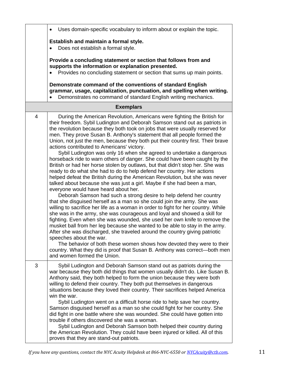|   | Uses domain-specific vocabulary to inform about or explain the topic.                                                                                                                                                                                                                                                                                                                                                                                                                                                                                                                                                                                                                                                                                                                                                                                                                                                                                                                                                                                                                                                                                                                                                                                                                                                                                                                                                                                                                                                                                                                                                                                                                                                                            |
|---|--------------------------------------------------------------------------------------------------------------------------------------------------------------------------------------------------------------------------------------------------------------------------------------------------------------------------------------------------------------------------------------------------------------------------------------------------------------------------------------------------------------------------------------------------------------------------------------------------------------------------------------------------------------------------------------------------------------------------------------------------------------------------------------------------------------------------------------------------------------------------------------------------------------------------------------------------------------------------------------------------------------------------------------------------------------------------------------------------------------------------------------------------------------------------------------------------------------------------------------------------------------------------------------------------------------------------------------------------------------------------------------------------------------------------------------------------------------------------------------------------------------------------------------------------------------------------------------------------------------------------------------------------------------------------------------------------------------------------------------------------|
|   | Establish and maintain a formal style.<br>Does not establish a formal style.                                                                                                                                                                                                                                                                                                                                                                                                                                                                                                                                                                                                                                                                                                                                                                                                                                                                                                                                                                                                                                                                                                                                                                                                                                                                                                                                                                                                                                                                                                                                                                                                                                                                     |
|   | Provide a concluding statement or section that follows from and<br>supports the information or explanation presented.<br>Provides no concluding statement or section that sums up main points.                                                                                                                                                                                                                                                                                                                                                                                                                                                                                                                                                                                                                                                                                                                                                                                                                                                                                                                                                                                                                                                                                                                                                                                                                                                                                                                                                                                                                                                                                                                                                   |
|   | Demonstrate command of the conventions of standard English<br>grammar, usage, capitalization, punctuation, and spelling when writing.<br>Demonstrates no command of standard English writing mechanics.                                                                                                                                                                                                                                                                                                                                                                                                                                                                                                                                                                                                                                                                                                                                                                                                                                                                                                                                                                                                                                                                                                                                                                                                                                                                                                                                                                                                                                                                                                                                          |
|   | <b>Exemplars</b>                                                                                                                                                                                                                                                                                                                                                                                                                                                                                                                                                                                                                                                                                                                                                                                                                                                                                                                                                                                                                                                                                                                                                                                                                                                                                                                                                                                                                                                                                                                                                                                                                                                                                                                                 |
| 4 | During the American Revolution, Americans were fighting the British for<br>their freedom. Sybil Ludington and Deborah Samson stand out as patriots in<br>the revolution because they both took on jobs that were usually reserved for<br>men. They prove Susan B. Anthony's statement that all people formed the<br>Union, not just the men, because they both put their country first. Their brave<br>actions contributed to Americans' victory.<br>Sybil Ludington was only 16 when she agreed to undertake a dangerous<br>horseback ride to warn others of danger. She could have been caught by the<br>British or had her horse stolen by outlaws, but that didn't stop her. She was<br>ready to do what she had to do to help defend her country. Her actions<br>helped defeat the British during the American Revolution, but she was never<br>talked about because she was just a girl. Maybe if she had been a man,<br>everyone would have heard about her.<br>Deborah Samson had such a strong desire to help defend her country<br>that she disguised herself as a man so she could join the army. She was<br>willing to sacrifice her life as a woman in order to fight for her country. While<br>she was in the army, she was courageous and loyal and showed a skill for<br>fighting. Even when she was wounded, she used her own knife to remove the<br>musket ball from her leg because she wanted to be able to stay in the army.<br>After she was discharged, she traveled around the country giving patriotic<br>speeches about the war.<br>The behavior of both these women shows how devoted they were to their<br>country. What they did is proof that Susan B. Anthony was correct-both men<br>and women formed the Union. |
| 3 | Sybil Ludington and Deborah Samson stand out as patriots during the<br>war because they both did things that women usually didn't do. Like Susan B.<br>Anthony said, they both helped to form the union because they were both<br>willing to defend their country. They both put themselves in dangerous<br>situations because they loved their country. Their sacrifices helped America<br>win the war.<br>Sybil Ludington went on a difficult horse ride to help save her country.<br>Samson disguised herself as a man so she could fight for her country. She<br>did fight in one battle where she was wounded. She could have gotten into<br>trouble if others discovered she was a woman.<br>Sybil Ludington and Deborah Samson both helped their country during<br>the American Revolution. They could have been injured or killed. All of this<br>proves that they are stand-out patriots.                                                                                                                                                                                                                                                                                                                                                                                                                                                                                                                                                                                                                                                                                                                                                                                                                                               |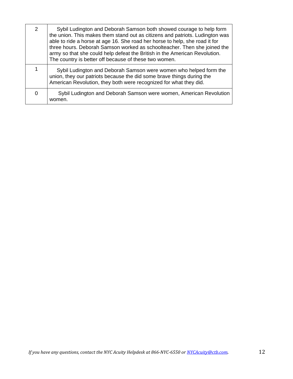| $\mathcal{P}$ | Sybil Ludington and Deborah Samson both showed courage to help form<br>the union. This makes them stand out as citizens and patriots. Ludington was<br>able to ride a horse at age 16. She road her horse to help, she road it for<br>three hours. Deborah Samson worked as schoolteacher. Then she joined the<br>army so that she could help defeat the British in the American Revolution.<br>The country is better off because of these two women. |
|---------------|-------------------------------------------------------------------------------------------------------------------------------------------------------------------------------------------------------------------------------------------------------------------------------------------------------------------------------------------------------------------------------------------------------------------------------------------------------|
|               | Sybil Ludington and Deborah Samson were women who helped form the<br>union, they our patriots because the did some brave things during the<br>American Revolution, they both were recognized for what they did.                                                                                                                                                                                                                                       |
| 0             | Sybil Ludington and Deborah Samson were women, American Revolution<br>women.                                                                                                                                                                                                                                                                                                                                                                          |